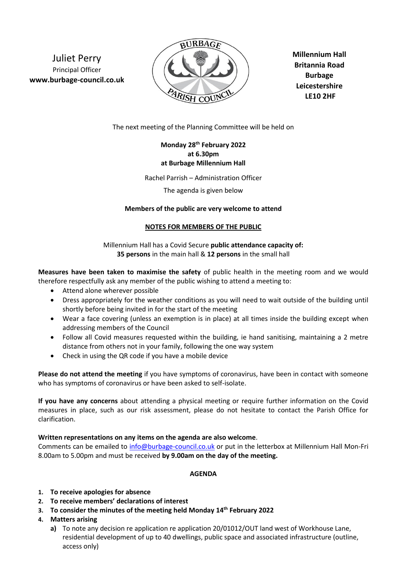Juliet Perry Principal Officer **www.burbage-council.co.uk**



**Millennium Hall Britannia Road Burbage Leicestershire LE10 2HF**

The next meeting of the Planning Committee will be held on

# **Monday 28th February 2022 at 6.30pm at Burbage Millennium Hall**

Rachel Parrish – Administration Officer

The agenda is given below

## **Members of the public are very welcome to attend**

#### **NOTES FOR MEMBERS OF THE PUBLIC**

Millennium Hall has a Covid Secure **public attendance capacity of: 35 persons** in the main hall & **12 persons** in the small hall

**Measures have been taken to maximise the safety** of public health in the meeting room and we would therefore respectfully ask any member of the public wishing to attend a meeting to:

- Attend alone wherever possible
- Dress appropriately for the weather conditions as you will need to wait outside of the building until shortly before being invited in for the start of the meeting
- Wear a face covering (unless an exemption is in place) at all times inside the building except when addressing members of the Council
- Follow all Covid measures requested within the building, ie hand sanitising, maintaining a 2 metre distance from others not in your family, following the one way system
- Check in using the QR code if you have a mobile device

**Please do not attend the meeting** if you have symptoms of coronavirus, have been in contact with someone who has symptoms of coronavirus or have been asked to self-isolate.

**If you have any concerns** about attending a physical meeting or require further information on the Covid measures in place, such as our risk assessment, please do not hesitate to contact the Parish Office for clarification.

## **Written representations on any items on the agenda are also welcome**.

Comments can be emailed to [info@burbage-council.co.uk](mailto:info@burbage-council.co.uk) or put in the letterbox at Millennium Hall Mon-Fri 8.00am to 5.00pm and must be received **by 9.00am on the day of the meeting.**

## **AGENDA**

- **1. To receive apologies for absence**
- **2. To receive members' declarations of interest**
- **3. To consider the minutes of the meeting held Monday 14th February 2022**
- **4. Matters arising**
	- **a)** To note any decision re application re application 20/01012/OUT land west of Workhouse Lane, residential development of up to 40 dwellings, public space and associated infrastructure (outline, access only)